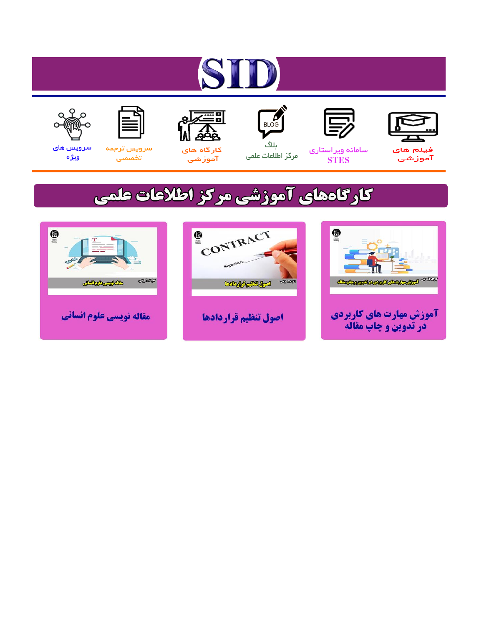# ST











مرکز اطلاعات علمی

 $\frac{1}{\sqrt{\frac{1}{100}}}$ ىلاگ



آموزشي

空

سرويس ترجمه تخصصى



سرویس های ويژه

## كارگاههای آموزشی مركز اطلاعات علمی





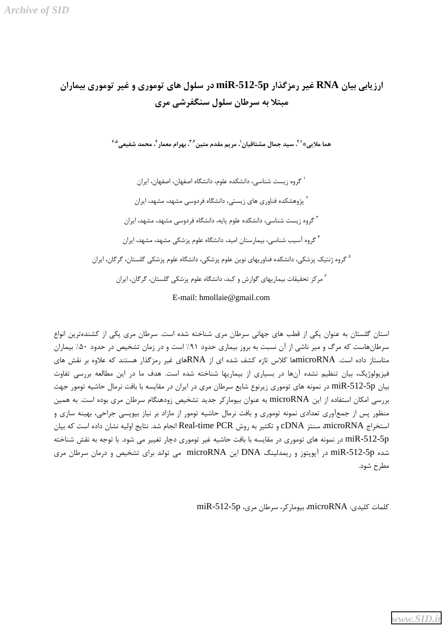### ارزیابی بیان RNA غیر رمزگذار miR-512-5p در سلول های توموری و غیر توموری بیماران میتلا به سرطان سلول سنگفرشے, مری

هما ملاييﷺ ''، سيد جمال مشتاقيان'، مريم مقدم متين '''، پهرام معمار <sup>۴</sup>، محمد شفيعي<sup>4.4</sup>

` گروه زیست شناسی، دانشکده علوم، دانشگاه اصفهان، اصفهان، ایران <sup>۲</sup> پژوهشکده فناوری های زیستی، دانشگاه فردوسی مشهد، مشهد، ایران <sup>۳</sup> گروه زیست شناسی، دانشکده علوم پایه، دانشگاه فردوسی مشهد، مشهد، ایران <sup>۴</sup> گروه آسیب شناسی، بیما<sub>ز</sub>ستان امید، دانشگاه علوم پزشکی مشهد، مشهد، ایران <sup>۵</sup> گروه ژنتیک پزشکی، دانشکده فناوریهای نوین علوم پزشکی، دانشگاه علوم پزشکی گلستان، گرگان، ایران <sup>۶</sup> مرکز تحقیقات بیماریهای گوارش و کبد، دانشگاه علوم پزشکی گلستان، گرگان، ایران E-mail: hmollaie@gmail.com

استان گلستان به عنوان یکی از قطب های جهانی سرطان مری شناخته شده است. سرطان مری یکی از کشندهترین انواع سرطانهاست که مرگ و میر ناشی از آن نسبت به بروز بیماری حدود ۹۱٪ است و در زمان تشخیص در حدود ۵۰٪ بیماران متاستاز داده است. microRNAها کلاس تازه کشف شده ای از RNAهای غیر رمزگذار هستند که علاوه بر نقش های فیزیولوژیک، بیان تنظیم نشده آنها در بسیاری از بیماریها شناخته شده است. هدف ما در این مطالعه بررسی تفاوت بیان miR-512-5p در نمونه های توموری زیرنوع شایع سرطان مری در ایران در مقایسه با بافت نرمال حاشیه تومور جهت بررسی امکان استفاده از این microRNA به عنوان بیومارکر جدید تشخیص زودهنگام سرطان مری بوده است. به همین منظور پس از جمعآوری تعدادی نمونه توموری و بافت نرمال حاشیه تومور از مازاد بر نیاز بیوپسی جراحی، بهینه سازی و استخراج microRNA، سنتز cDNA و تكثير به روش Real-time PCR انجام شد. نتايج اوليه نشان داده است كه بيان miR-512-5p در نمونه های توموری در مقایسه با بافت حاشیه غیر توموری دچار تغییر می شود. با توجه به نقش شناخته شده miR-512-5p در آیویتوز و ریمدلینگ DNA این microRNA می تواند برای تشخیص و درمان سرطان مری مطرح شود.

كلمات كليدى: microRNA، بيوماركر، سرطان مرى، miR-512-5p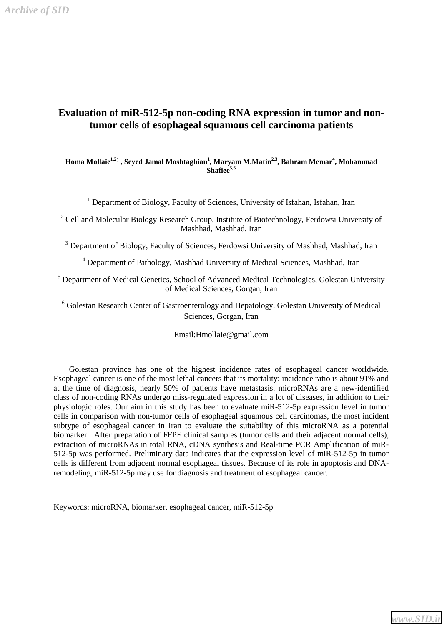#### **Evaluation of miR-512-5p non-coding RNA expression in tumor and nontumor cells of esophageal squamous cell carcinoma patients**

#### **Homa Mollaie1,2**] **, Seyed Jamal Moshtaghian<sup>1</sup> , Maryam M.Matin2,3, Bahram Memar<sup>4</sup> , Mohammad Shafiee5,6**

<sup>1</sup> Department of Biology, Faculty of Sciences, University of Isfahan, Isfahan, Iran

<sup>2</sup> Cell and Molecular Biology Research Group, Institute of Biotechnology, Ferdowsi University of Mashhad, Mashhad, Iran

<sup>3</sup> Department of Biology, Faculty of Sciences, Ferdowsi University of Mashhad, Mashhad, Iran

4 Department of Pathology, Mashhad University of Medical Sciences, Mashhad, Iran

<sup>5</sup> Department of Medical Genetics, School of Advanced Medical Technologies, Golestan University of Medical Sciences, Gorgan, Iran

<sup>6</sup> Golestan Research Center of Gastroenterology and Hepatology, Golestan University of Medical Sciences, Gorgan, Iran

Email:Hmollaie@gmail.com

 Golestan province has one of the highest incidence rates of esophageal cancer worldwide. Esophageal cancer is one of the most lethal cancers that its mortality: incidence ratio is about 91% and at the time of diagnosis, nearly 50% of patients have metastasis. microRNAs are a new-identified class of non-coding RNAs undergo miss-regulated expression in a lot of diseases, in addition to their physiologic roles. Our aim in this study has been to evaluate miR-512-5p expression level in tumor cells in comparison with non-tumor cells of esophageal squamous cell carcinomas, the most incident subtype of esophageal cancer in Iran to evaluate the suitability of this microRNA as a potential biomarker. After preparation of FFPE clinical samples (tumor cells and their adjacent normal cells), extraction of microRNAs in total RNA, cDNA synthesis and Real-time PCR Amplification of miR-512-5p was performed. Preliminary data indicates that the expression level of miR-512-5p in tumor cells is different from adjacent normal esophageal tissues. Because of its role in apoptosis and DNAremodeling, miR-512-5p may use for diagnosis and treatment of esophageal cancer.

Keywords: microRNA, biomarker, esophageal cancer, miR-512-5p